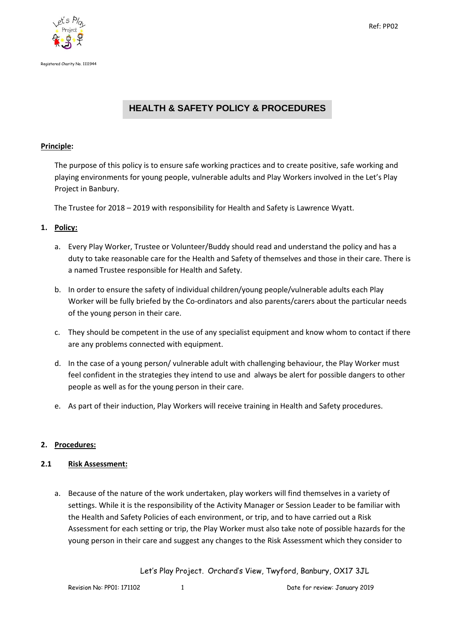



# **HEALTH & SAFETY POLICY & PROCEDURES**

#### **Principle:**

The purpose of this policy is to ensure safe working practices and to create positive, safe working and playing environments for young people, vulnerable adults and Play Workers involved in the Let's Play Project in Banbury.

The Trustee for 2018 – 2019 with responsibility for Health and Safety is Lawrence Wyatt.

# **1. Policy:**

- a. Every Play Worker, Trustee or Volunteer/Buddy should read and understand the policy and has a duty to take reasonable care for the Health and Safety of themselves and those in their care. There is a named Trustee responsible for Health and Safety.
- b. In order to ensure the safety of individual children/young people/vulnerable adults each Play Worker will be fully briefed by the Co-ordinators and also parents/carers about the particular needs of the young person in their care.
- c. They should be competent in the use of any specialist equipment and know whom to contact if there are any problems connected with equipment.
- d. In the case of a young person/ vulnerable adult with challenging behaviour, the Play Worker must feel confident in the strategies they intend to use and always be alert for possible dangers to other people as well as for the young person in their care.
- e. As part of their induction, Play Workers will receive training in Health and Safety procedures.

# **2. Procedures:**

# **2.1 Risk Assessment:**

a. Because of the nature of the work undertaken, play workers will find themselves in a variety of settings. While it is the responsibility of the Activity Manager or Session Leader to be familiar with the Health and Safety Policies of each environment, or trip, and to have carried out a Risk Assessment for each setting or trip, the Play Worker must also take note of possible hazards for the young person in their care and suggest any changes to the Risk Assessment which they consider to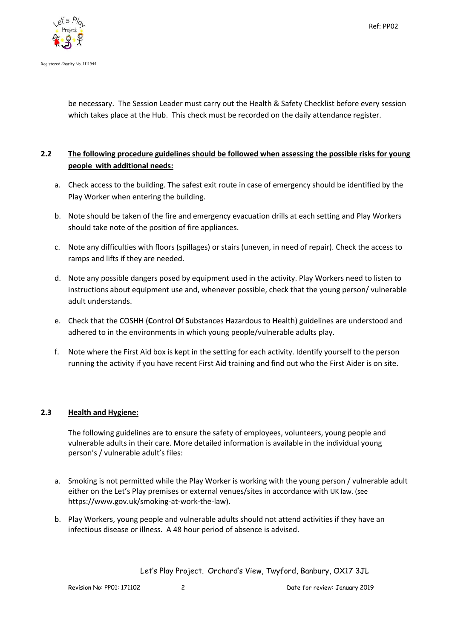

be necessary. The Session Leader must carry out the Health & Safety Checklist before every session which takes place at the Hub. This check must be recorded on the daily attendance register.

# **2.2 The following procedure guidelines should be followed when assessing the possible risks for young people with additional needs:**

- a. Check access to the building. The safest exit route in case of emergency should be identified by the Play Worker when entering the building.
- b. Note should be taken of the fire and emergency evacuation drills at each setting and Play Workers should take note of the position of fire appliances.
- c. Note any difficulties with floors (spillages) or stairs (uneven, in need of repair). Check the access to ramps and lifts if they are needed.
- d. Note any possible dangers posed by equipment used in the activity. Play Workers need to listen to instructions about equipment use and, whenever possible, check that the young person/ vulnerable adult understands.
- e. Check that the COSHH (**C**ontrol **O**f **S**ubstances **H**azardous to **H**ealth) guidelines are understood and adhered to in the environments in which young people/vulnerable adults play.
- f. Note where the First Aid box is kept in the setting for each activity. Identify yourself to the person running the activity if you have recent First Aid training and find out who the First Aider is on site.

# **2.3 Health and Hygiene:**

The following guidelines are to ensure the safety of employees, volunteers, young people and vulnerable adults in their care. More detailed information is available in the individual young person's / vulnerable adult's files:

- a. Smoking is not permitted while the Play Worker is working with the young person / vulnerable adult either on the Let's Play premises or external venues/sites in accordance with UK law. (see https://www.gov.uk/smoking-at-work-the-law).
- b. Play Workers, young people and vulnerable adults should not attend activities if they have an infectious disease or illness. A 48 hour period of absence is advised.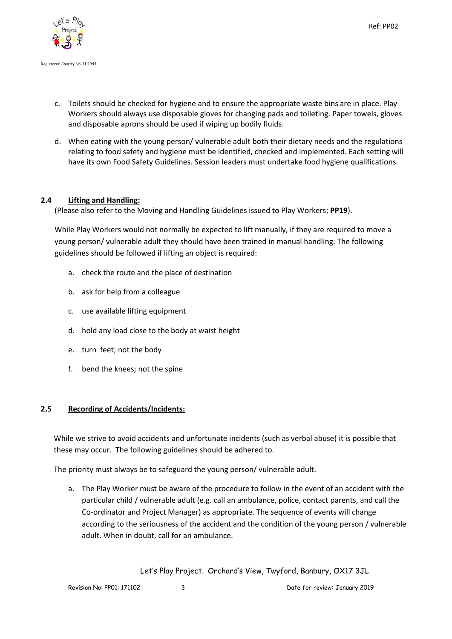

- c. Toilets should be checked for hygiene and to ensure the appropriate waste bins are in place. Play Workers should always use disposable gloves for changing pads and toileting. Paper towels, gloves and disposable aprons should be used if wiping up bodily fluids.
- d. When eating with the young person/ vulnerable adult both their dietary needs and the regulations relating to food safety and hygiene must be identified, checked and implemented. Each setting will have its own Food Safety Guidelines. Session leaders must undertake food hygiene qualifications.

# **2.4 Lifting and Handling:**

(Please also refer to the Moving and Handling Guidelines issued to Play Workers; **PP19**).

While Play Workers would not normally be expected to lift manually, if they are required to move a young person/ vulnerable adult they should have been trained in manual handling. The following guidelines should be followed if lifting an object is required:

- a. check the route and the place of destination
- b. ask for help from a colleague
- c. use available lifting equipment
- d. hold any load close to the body at waist height
- e. turn feet; not the body
- f. bend the knees; not the spine

# **2.5 Recording of Accidents/Incidents:**

While we strive to avoid accidents and unfortunate incidents (such as verbal abuse) it is possible that these may occur. The following guidelines should be adhered to.

The priority must always be to safeguard the young person/ vulnerable adult.

a. The Play Worker must be aware of the procedure to follow in the event of an accident with the particular child / vulnerable adult (e.g. call an ambulance, police, contact parents, and call the Co-ordinator and Project Manager) as appropriate. The sequence of events will change according to the seriousness of the accident and the condition of the young person / vulnerable adult. When in doubt, call for an ambulance.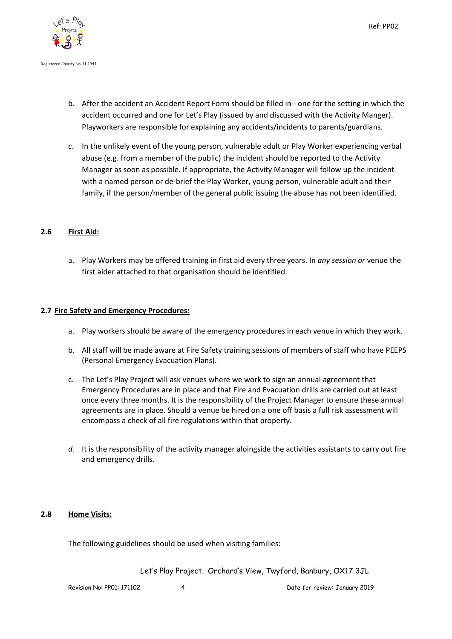



- b. After the accident an Accident Report Form should be filled in one for the setting in which the accident occurred and one for Let's Play (issued by and discussed with the Activity Manger). Playworkers are responsible for explaining any accidents/incidents to parents/guardians.
- c. In the unlikely event of the young person, vulnerable adult or Play Worker experiencing verbal abuse (e.g. from a member of the public) the incident should be reported to the Activity Manager as soon as possible. If appropriate, the Activity Manager will follow up the incident with a named person or de-brief the Play Worker, young person, vulnerable adult and their family, if the person/member of the general public issuing the abuse has not been identified.

#### **2.6 First Aid:**

a. Play Workers may be offered training in first aid every three years. In *any session or* venue the first aider attached to that organisation should be identified.

#### **2.7 Fire Safety and Emergency Procedures:**

- a. Play workers should be aware of the emergency procedures in each venue in which they work.
- b. All staff will be made aware at Fire Safety training sessions of members of staff who have PEEPS (Personal Emergency Evacuation Plans).
- c. The Let's Play Project will ask venues where we work to sign an annual agreement that Emergency Procedures are in place and that Fire and Evacuation drills are carried out at least once every three months. It is the responsibility of the Project Manager to ensure these annual agreements are in place. Should a venue be hired on a one off basis a full risk assessment will encompass a check of all fire regulations within that property.
- *d.* It is the responsibility of the activity manager aloingside the activities assistants to carry out fire and emergency drills.

# **2.8 Home Visits:**

The following guidelines should be used when visiting families: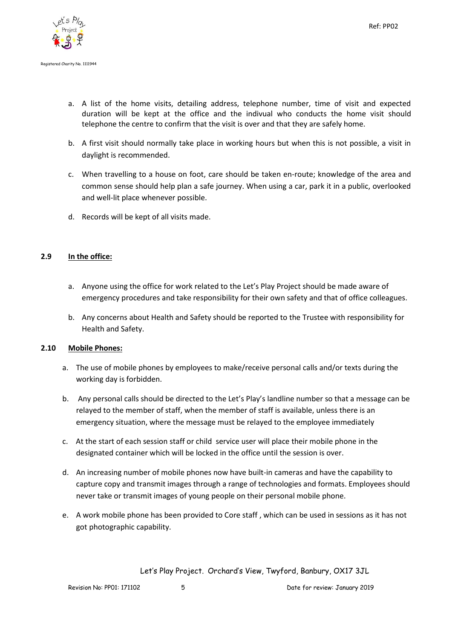

- a. A list of the home visits, detailing address, telephone number, time of visit and expected duration will be kept at the office and the indivual who conducts the home visit should telephone the centre to confirm that the visit is over and that they are safely home.
- b. A first visit should normally take place in working hours but when this is not possible, a visit in daylight is recommended.
- c. When travelling to a house on foot, care should be taken en-route; knowledge of the area and common sense should help plan a safe journey. When using a car, park it in a public, overlooked and well-lit place whenever possible.
- d. Records will be kept of all visits made.

# **2.9 In the office:**

- a. Anyone using the office for work related to the Let's Play Project should be made aware of emergency procedures and take responsibility for their own safety and that of office colleagues.
- b. Any concerns about Health and Safety should be reported to the Trustee with responsibility for Health and Safety.

# **2.10 Mobile Phones:**

- a. The use of mobile phones by employees to make/receive personal calls and/or texts during the working day is forbidden.
- b. Any personal calls should be directed to the Let's Play's landline number so that a message can be relayed to the member of staff, when the member of staff is available, unless there is an emergency situation, where the message must be relayed to the employee immediately
- c. At the start of each session staff or child service user will place their mobile phone in the designated container which will be locked in the office until the session is over.
- d. An increasing number of mobile phones now have built-in cameras and have the capability to capture copy and transmit images through a range of technologies and formats. Employees should never take or transmit images of young people on their personal mobile phone.
- e. A work mobile phone has been provided to Core staff , which can be used in sessions as it has not got photographic capability.